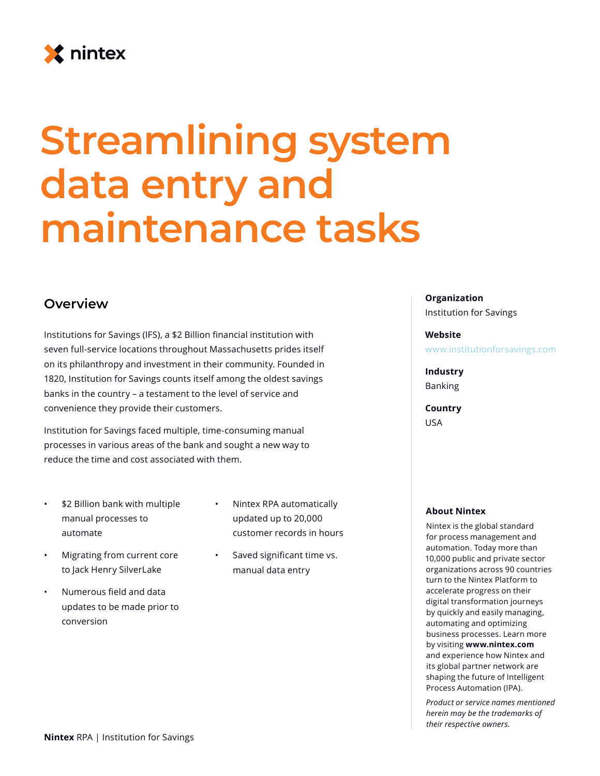

# **Streamlining system data entry and maintenance tasks**

### **Overview**

Institutions for Savings (IFS), a \$2 Billion financial institution with seven full-service locations throughout Massachusetts prides itself on its philanthropy and investment in their community. Founded in 1820, Institution for Savings counts itself among the oldest savings banks in the country – a testament to the level of service and convenience they provide their customers.

Institution for Savings faced multiple, time-consuming manual processes in various areas of the bank and sought a new way to reduce the time and cost associated with them.

- \$2 Billion bank with multiple manual processes to automate
- Migrating from current core to Jack Henry SilverLake
- Numerous field and data updates to be made prior to conversion
- Nintex RPA automatically updated up to 20,000 customer records in hours
- Saved significant time vs. manual data entry

#### **Organization**

Institution for Savings

#### **Website**

www.institutionforsavings.com

**Industry** Banking

**Country** USA

#### **About Nintex**

Nintex is the global standard for process management and automation. Today more than 10,000 public and private sector organizations across 90 countries turn to the Nintex Platform to accelerate progress on their digital transformation journeys by quickly and easily managing, automating and optimizing business processes. Learn more by visiting **www.nintex.com** and experience how Nintex and its global partner network are shaping the future of Intelligent Process Automation (IPA).

*Product or service names mentioned herein may be the trademarks of their respective owners.*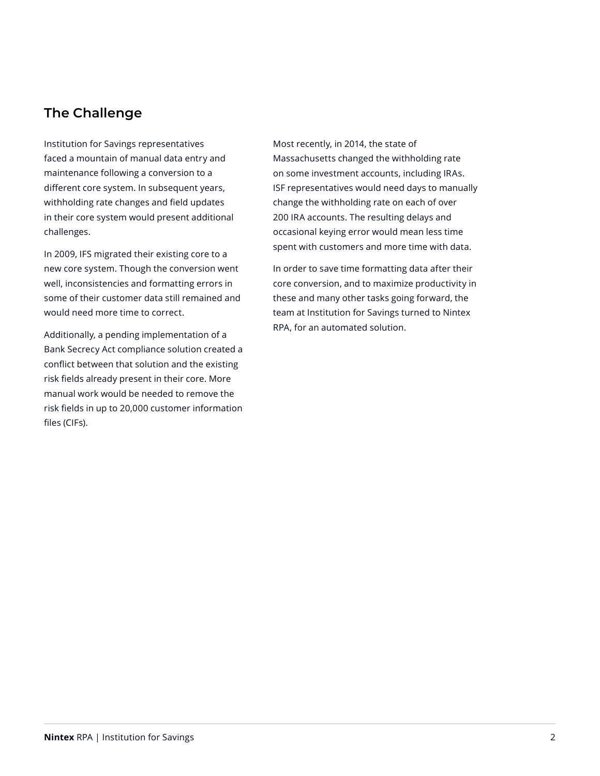## **The Challenge**

Institution for Savings representatives faced a mountain of manual data entry and maintenance following a conversion to a different core system. In subsequent years, withholding rate changes and field updates in their core system would present additional challenges.

In 2009, IFS migrated their existing core to a new core system. Though the conversion went well, inconsistencies and formatting errors in some of their customer data still remained and would need more time to correct.

Additionally, a pending implementation of a Bank Secrecy Act compliance solution created a conflict between that solution and the existing risk fields already present in their core. More manual work would be needed to remove the risk fields in up to 20,000 customer information files (CIFs).

Most recently, in 2014, the state of Massachusetts changed the withholding rate on some investment accounts, including IRAs. ISF representatives would need days to manually change the withholding rate on each of over 200 IRA accounts. The resulting delays and occasional keying error would mean less time spent with customers and more time with data.

In order to save time formatting data after their core conversion, and to maximize productivity in these and many other tasks going forward, the team at Institution for Savings turned to Nintex RPA, for an automated solution.